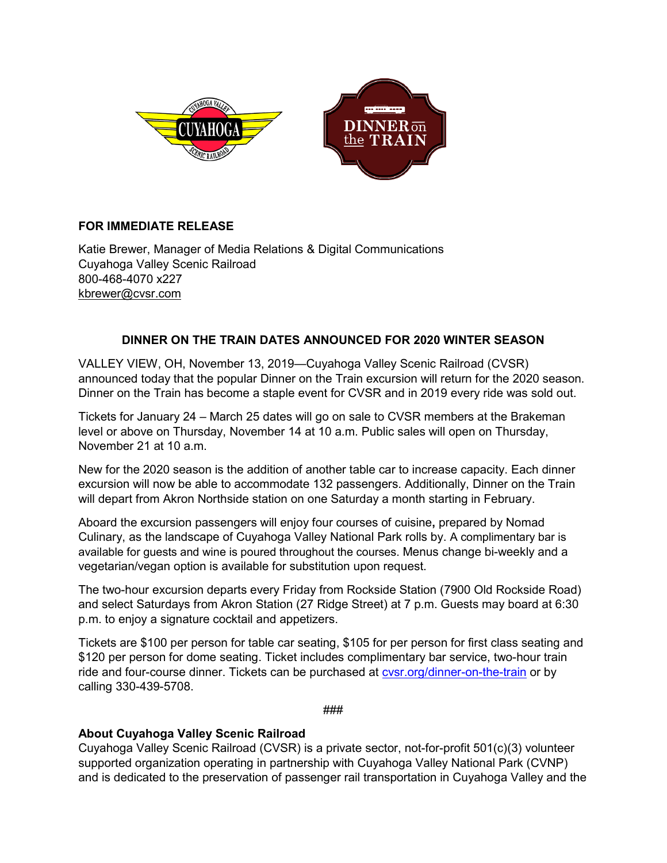

## **FOR IMMEDIATE RELEASE**

Katie Brewer, Manager of Media Relations & Digital Communications Cuyahoga Valley Scenic Railroad 800-468-4070 x227 [kbrewer@cvsr.com](mailto:kbrewer@cvsr.com)

## **DINNER ON THE TRAIN DATES ANNOUNCED FOR 2020 WINTER SEASON**

VALLEY VIEW, OH, November 13, 2019—Cuyahoga Valley Scenic Railroad (CVSR) announced today that the popular Dinner on the Train excursion will return for the 2020 season. Dinner on the Train has become a staple event for CVSR and in 2019 every ride was sold out.

Tickets for January 24 – March 25 dates will go on sale to CVSR members at the Brakeman level or above on Thursday, November 14 at 10 a.m. Public sales will open on Thursday, November 21 at 10 a.m.

New for the 2020 season is the addition of another table car to increase capacity. Each dinner excursion will now be able to accommodate 132 passengers. Additionally, Dinner on the Train will depart from Akron Northside station on one Saturday a month starting in February.

Aboard the excursion passengers will enjoy four courses of cuisine**,** prepared by Nomad Culinary, as the landscape of Cuyahoga Valley National Park rolls by. A complimentary bar is available for guests and wine is poured throughout the courses. Menus change bi-weekly and a vegetarian/vegan option is available for substitution upon request.

The two-hour excursion departs every Friday from Rockside Station (7900 Old Rockside Road) and select Saturdays from Akron Station (27 Ridge Street) at 7 p.m. Guests may board at 6:30 p.m. to enjoy a signature cocktail and appetizers.

Tickets are \$100 per person for table car seating, \$105 for per person for first class seating and \$120 per person for dome seating. Ticket includes complimentary bar service, two-hour train ride and four-course dinner. Tickets can be purchased at [cvsr.org/dinner-on-the-train](https://www.cvsr.org/dinner-on-the-train/) or by calling 330-439-5708.

###

## **About Cuyahoga Valley Scenic Railroad**

Cuyahoga Valley Scenic Railroad (CVSR) is a private sector, not-for-profit 501(c)(3) volunteer supported organization operating in partnership with Cuyahoga Valley National Park (CVNP) and is dedicated to the preservation of passenger rail transportation in Cuyahoga Valley and the